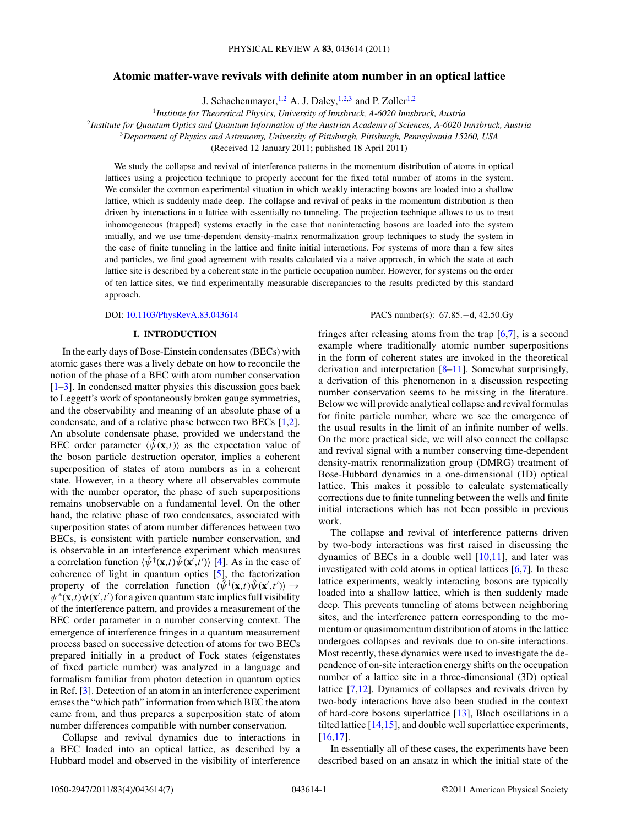# **Atomic matter-wave revivals with definite atom number in an optical lattice**

J. Schachenmayer,<sup>1,2</sup> A. J. Daley,<sup>1,2,3</sup> and P. Zoller<sup>1,2</sup>

<sup>1</sup>*Institute for Theoretical Physics, University of Innsbruck, A-6020 Innsbruck, Austria*

<sup>2</sup>*Institute for Quantum Optics and Quantum Information of the Austrian Academy of Sciences, A-6020 Innsbruck, Austria*

<sup>3</sup>*Department of Physics and Astronomy, University of Pittsburgh, Pittsburgh, Pennsylvania 15260, USA*

(Received 12 January 2011; published 18 April 2011)

We study the collapse and revival of interference patterns in the momentum distribution of atoms in optical lattices using a projection technique to properly account for the fixed total number of atoms in the system. We consider the common experimental situation in which weakly interacting bosons are loaded into a shallow lattice, which is suddenly made deep. The collapse and revival of peaks in the momentum distribution is then driven by interactions in a lattice with essentially no tunneling. The projection technique allows to us to treat inhomogeneous (trapped) systems exactly in the case that noninteracting bosons are loaded into the system initially, and we use time-dependent density-matrix renormalization group techniques to study the system in the case of finite tunneling in the lattice and finite initial interactions. For systems of more than a few sites and particles, we find good agreement with results calculated via a naive approach, in which the state at each lattice site is described by a coherent state in the particle occupation number. However, for systems on the order of ten lattice sites, we find experimentally measurable discrepancies to the results predicted by this standard approach.

## **I. INTRODUCTION**

In the early days of Bose-Einstein condensates (BECs) with atomic gases there was a lively debate on how to reconcile the notion of the phase of a BEC with atom number conservation [\[1–3\]](#page-6-0). In condensed matter physics this discussion goes back to Leggett's work of spontaneously broken gauge symmetries, and the observability and meaning of an absolute phase of a condensate, and of a relative phase between two BECs [\[1,2\]](#page-6-0). An absolute condensate phase, provided we understand the BEC order parameter  $\langle \hat{\psi}(\mathbf{x},t) \rangle$  as the expectation value of the boson particle destruction operator, implies a coherent superposition of states of atom numbers as in a coherent state. However, in a theory where all observables commute with the number operator, the phase of such superpositions remains unobservable on a fundamental level. On the other hand, the relative phase of two condensates, associated with superposition states of atom number differences between two BECs, is consistent with particle number conservation, and is observable in an interference experiment which measures a correlation function  $\langle \hat{\psi}^{\dagger}(\mathbf{x},t) \hat{\psi}(\mathbf{x}',t') \rangle$  [\[4\]](#page-6-0). As in the case of coherence of light in quantum optics [\[5\]](#page-6-0), the factorization property of the correlation function  $\langle \hat{\psi}^{\dagger}(\mathbf{x},t) \hat{\psi}(\mathbf{x}',t') \rangle \rightarrow$  $\psi^*(\mathbf{x},t)\psi(\mathbf{x}',t')$  for a given quantum state implies full visibility of the interference pattern, and provides a measurement of the BEC order parameter in a number conserving context. The emergence of interference fringes in a quantum measurement process based on successive detection of atoms for two BECs prepared initially in a product of Fock states (eigenstates of fixed particle number) was analyzed in a language and formalism familiar from photon detection in quantum optics in Ref. [\[3\]](#page-6-0). Detection of an atom in an interference experiment erases the "which path" information from which BEC the atom came from, and thus prepares a superposition state of atom number differences compatible with number conservation.

Collapse and revival dynamics due to interactions in a BEC loaded into an optical lattice, as described by a Hubbard model and observed in the visibility of interference

DOI: [10.1103/PhysRevA.83.043614](http://dx.doi.org/10.1103/PhysRevA.83.043614) PACS number(s): 67*.*85*.*−d, 42*.*50*.*Gy

fringes after releasing atoms from the trap  $[6,7]$ , is a second example where traditionally atomic number superpositions in the form of coherent states are invoked in the theoretical derivation and interpretation [\[8–11\]](#page-6-0). Somewhat surprisingly, a derivation of this phenomenon in a discussion respecting number conservation seems to be missing in the literature. Below we will provide analytical collapse and revival formulas for finite particle number, where we see the emergence of the usual results in the limit of an infinite number of wells. On the more practical side, we will also connect the collapse and revival signal with a number conserving time-dependent density-matrix renormalization group (DMRG) treatment of Bose-Hubbard dynamics in a one-dimensional (1D) optical lattice. This makes it possible to calculate systematically corrections due to finite tunneling between the wells and finite initial interactions which has not been possible in previous work.

The collapse and revival of interference patterns driven by two-body interactions was first raised in discussing the dynamics of BECs in a double well  $[10,11]$ , and later was investigated with cold atoms in optical lattices  $[6,7]$ . In these lattice experiments, weakly interacting bosons are typically loaded into a shallow lattice, which is then suddenly made deep. This prevents tunneling of atoms between neighboring sites, and the interference pattern corresponding to the momentum or quasimomentum distribution of atoms in the lattice undergoes collapses and revivals due to on-site interactions. Most recently, these dynamics were used to investigate the dependence of on-site interaction energy shifts on the occupation number of a lattice site in a three-dimensional (3D) optical lattice [\[7,12\]](#page-6-0). Dynamics of collapses and revivals driven by two-body interactions have also been studied in the context of hard-core bosons superlattice [\[13\]](#page-6-0), Bloch oscillations in a tilted lattice [\[14,15\]](#page-6-0), and double well superlattice experiments, [\[16,17\]](#page-6-0).

In essentially all of these cases, the experiments have been described based on an ansatz in which the initial state of the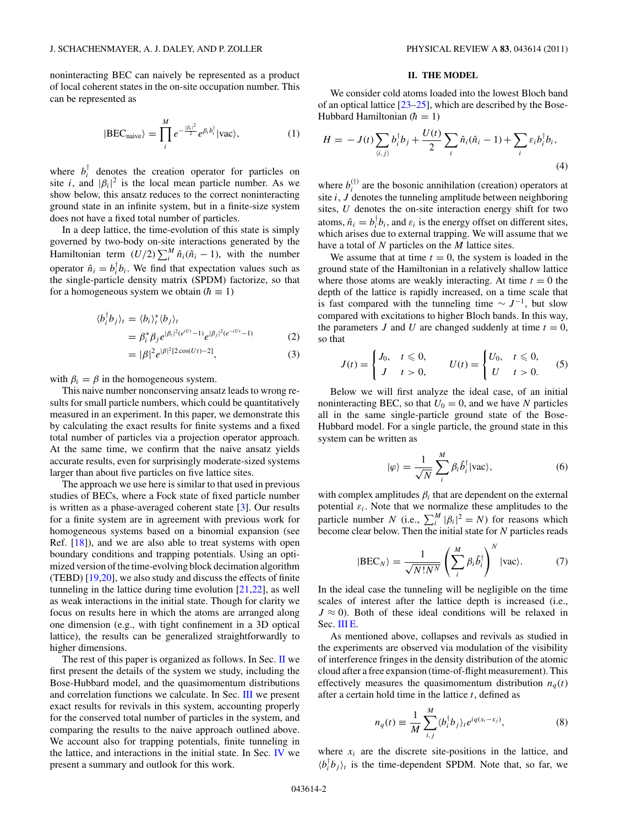<span id="page-1-0"></span>noninteracting BEC can naively be represented as a product of local coherent states in the on-site occupation number. This can be represented as

$$
|\text{BEC}_{\text{naive}}\rangle = \prod_{i}^{M} e^{-\frac{|\beta_i|^2}{2}} e^{\beta_i b_i^{\dagger}} |\text{vac}\rangle, \tag{1}
$$

where  $b_i^{\dagger}$  denotes the creation operator for particles on site *i*, and  $|\beta_i|^2$  is the local mean particle number. As we show below, this ansatz reduces to the correct noninteracting ground state in an infinite system, but in a finite-size system does not have a fixed total number of particles.

In a deep lattice, the time-evolution of this state is simply governed by two-body on-site interactions generated by the Hamiltonian term  $(U/2) \sum_{i=1}^{M} \hat{n}_i (\hat{n}_i - 1)$ , with the number operator  $\hat{n}_i = b_i^{\dagger} b_i$ . We find that expectation values such as the single-particle density matrix (SPDM) factorize, so that for a homogeneous system we obtain ( $\hbar \equiv 1$ )

$$
\langle b_i^{\dagger} b_j \rangle_t = \langle b_i \rangle_t^* \langle b_j \rangle_t
$$
  
=  $\beta_i^* \beta_j e^{|\beta_i|^2 (e^{iUt} - 1)} e^{|\beta_j|^2 (e^{-iUt} - 1)}$  (2)

$$
= |\beta|^2 e^{|\beta|^2 [2\cos(Ut)-2]}, \tag{3}
$$

with  $\beta_i = \beta$  in the homogeneous system.

This naive number nonconserving ansatz leads to wrong results for small particle numbers, which could be quantitatively measured in an experiment. In this paper, we demonstrate this by calculating the exact results for finite systems and a fixed total number of particles via a projection operator approach. At the same time, we confirm that the naive ansatz yields accurate results, even for surprisingly moderate-sized systems larger than about five particles on five lattice sites.

The approach we use here is similar to that used in previous studies of BECs, where a Fock state of fixed particle number is written as a phase-averaged coherent state [\[3\]](#page-6-0). Our results for a finite system are in agreement with previous work for homogeneous systems based on a binomial expansion (see Ref. [\[18\]](#page-6-0)), and we are also able to treat systems with open boundary conditions and trapping potentials. Using an optimized version of the time-evolving block decimation algorithm (TEBD) [\[19,20\]](#page-6-0), we also study and discuss the effects of finite tunneling in the lattice during time evolution [\[21,22\]](#page-6-0), as well as weak interactions in the initial state. Though for clarity we focus on results here in which the atoms are arranged along one dimension (e.g., with tight confinement in a 3D optical lattice), the results can be generalized straightforwardly to higher dimensions.

The rest of this paper is organized as follows. In Sec. II we first present the details of the system we study, including the Bose-Hubbard model, and the quasimomentum distributions and correlation functions we calculate. In Sec. [III](#page-2-0) we present exact results for revivals in this system, accounting properly for the conserved total number of particles in the system, and comparing the results to the naive approach outlined above. We account also for trapping potentials, finite tunneling in the lattice, and interactions in the initial state. In Sec. [IV](#page-6-0) we present a summary and outlook for this work.

## **II. THE MODEL**

We consider cold atoms loaded into the lowest Bloch band of an optical lattice  $[23-25]$ , which are described by the Bose-Hubbard Hamiltonian ( $\hbar = 1$ )

$$
H = -J(t)\sum_{\langle i,j\rangle} b_i^{\dagger}b_j + \frac{U(t)}{2}\sum_i \hat{n}_i(\hat{n}_i - 1) + \sum_i \varepsilon_i b_i^{\dagger}b_i,
$$
\n(4)

where  $b_i^{(\dagger)}$  are the bosonic annihilation (creation) operators at site *i*, *J* denotes the tunneling amplitude between neighboring sites, *U* denotes the on-site interaction energy shift for two atoms,  $\hat{n}_i = b_i^{\dagger} b_i$ , and  $\varepsilon_i$  is the energy offset on different sites, which arises due to external trapping. We will assume that we have a total of *N* particles on the *M* lattice sites.

We assume that at time  $t = 0$ , the system is loaded in the ground state of the Hamiltonian in a relatively shallow lattice where those atoms are weakly interacting. At time  $t = 0$  the depth of the lattice is rapidly increased, on a time scale that is fast compared with the tunneling time  $\sim J^{-1}$ , but slow compared with excitations to higher Bloch bands. In this way, the parameters *J* and *U* are changed suddenly at time  $t = 0$ , so that

$$
J(t) = \begin{cases} J_0, & t \leq 0, \\ J & t > 0, \end{cases} \qquad U(t) = \begin{cases} U_0, & t \leq 0, \\ U & t > 0. \end{cases} \tag{5}
$$

Below we will first analyze the ideal case, of an initial noninteracting BEC, so that  $U_0 = 0$ , and we have *N* particles all in the same single-particle ground state of the Bose-Hubbard model. For a single particle, the ground state in this system can be written as

$$
|\varphi\rangle = \frac{1}{\sqrt{N}} \sum_{i}^{M} \beta_{i} \hat{b}_{i}^{\dagger} |\text{vac}\rangle, \tag{6}
$$

with complex amplitudes  $\beta_i$  that are dependent on the external potential  $\varepsilon_i$ . Note that we normalize these amplitudes to the particle number *N* (i.e.,  $\sum_{i=1}^{M} |\beta_i|^2 = N$ ) for reasons which become clear below. Then the initial state for *N* particles reads

$$
|\text{BEC}_N\rangle = \frac{1}{\sqrt{N!N^N}} \left(\sum_{i}^{M} \beta_i \hat{b}_i^\dagger\right)^N |\text{vac}\rangle. \tag{7}
$$

In the ideal case the tunneling will be negligible on the time scales of interest after the lattice depth is increased (i.e.,  $J \approx 0$ ). Both of these ideal conditions will be relaxed in Sec. [III E.](#page-4-0)

As mentioned above, collapses and revivals as studied in the experiments are observed via modulation of the visibility of interference fringes in the density distribution of the atomic cloud after a free expansion (time-of-flight measurement). This effectively measures the quasimomentum distribution  $n_q(t)$ after a certain hold time in the lattice *t*, defined as

$$
n_q(t) \equiv \frac{1}{M} \sum_{i,j}^{M} \langle b_i^{\dagger} b_j \rangle_t e^{iq(x_i - x_j)}, \tag{8}
$$

where  $x_i$  are the discrete site-positions in the lattice, and  $\langle b_i^{\dagger} b_j \rangle_t$  is the time-dependent SPDM. Note that, so far, we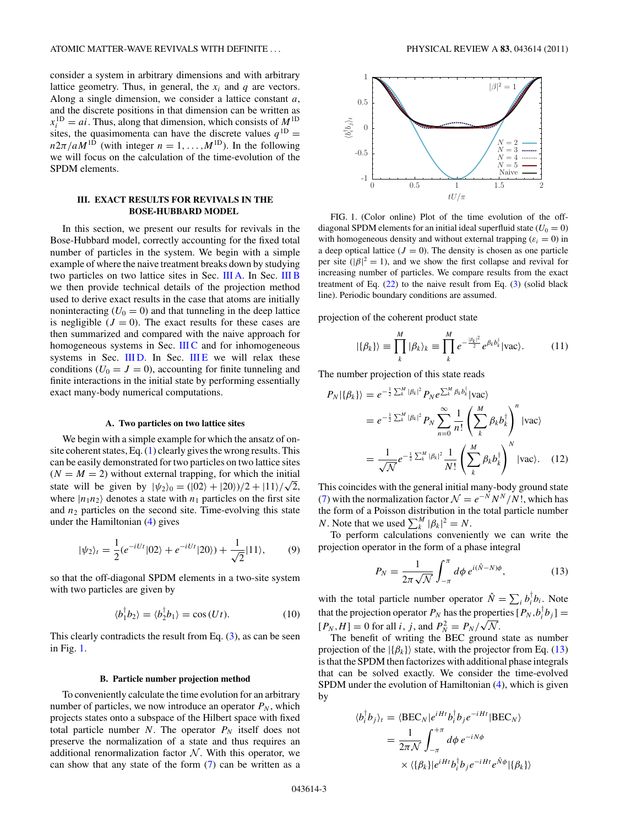<span id="page-2-0"></span>consider a system in arbitrary dimensions and with arbitrary lattice geometry. Thus, in general, the  $x_i$  and  $q$  are vectors. Along a single dimension, we consider a lattice constant *a*, and the discrete positions in that dimension can be written as  $x_i^{\text{1D}} = ai$ . Thus, along that dimension, which consists of  $M^{\text{1D}}$ sites, the quasimomenta can have the discrete values  $q^{1D}$  =  $n2\pi/aM^{1D}$  (with integer  $n = 1, \ldots, M^{1D}$ ). In the following we will focus on the calculation of the time-evolution of the SPDM elements.

# **III. EXACT RESULTS FOR REVIVALS IN THE BOSE-HUBBARD MODEL**

In this section, we present our results for revivals in the Bose-Hubbard model, correctly accounting for the fixed total number of particles in the system. We begin with a simple example of where the naive treatment breaks down by studying two particles on two lattice sites in Sec. III A. In Sec. III B we then provide technical details of the projection method used to derive exact results in the case that atoms are initially noninteracting  $(U_0 = 0)$  and that tunneling in the deep lattice is negligible  $(J = 0)$ . The exact results for these cases are then summarized and compared with the naive approach for homogeneous systems in Sec. [III C](#page-3-0) and for inhomogeneous systems in Sec. IIID. In Sec. IIIE we will relax these conditions  $(U_0 = J = 0)$ , accounting for finite tunneling and finite interactions in the initial state by performing essentially exact many-body numerical computations.

#### **A. Two particles on two lattice sites**

We begin with a simple example for which the ansatz of onsite coherent states, Eq. [\(1\)](#page-1-0) clearly gives the wrong results. This can be easily demonstrated for two particles on two lattice sites  $(N = M = 2)$  without external trapping, for which the initial state will be given by  $|\psi_2\rangle_0 = (|02\rangle + |20\rangle)/2 + |11\rangle/\sqrt{2}$ , where  $|n_1n_2\rangle$  denotes a state with  $n_1$  particles on the first site and  $n_2$  particles on the second site. Time-evolving this state under the Hamiltonian [\(4\)](#page-1-0) gives

$$
|\psi_2\rangle_t = \frac{1}{2} (e^{-iUt} |02\rangle + e^{-iUt} |20\rangle) + \frac{1}{\sqrt{2}} |11\rangle, \tag{9}
$$

so that the off-diagonal SPDM elements in a two-site system with two particles are given by

$$
\langle b_1^{\dagger} b_2 \rangle = \langle b_2^{\dagger} b_1 \rangle = \cos(Ut). \tag{10}
$$

This clearly contradicts the result from Eq.  $(3)$ , as can be seen in Fig. 1.

#### **B. Particle number projection method**

To conveniently calculate the time evolution for an arbitrary number of particles, we now introduce an operator  $P_N$ , which projects states onto a subspace of the Hilbert space with fixed total particle number  $N$ . The operator  $P_N$  itself does not preserve the normalization of a state and thus requires an additional renormalization factor  $N$ . With this operator, we can show that any state of the form  $(7)$  can be written as a



FIG. 1. (Color online) Plot of the time evolution of the offdiagonal SPDM elements for an initial ideal superfluid state  $(U_0 = 0)$ with homogeneous density and without external trapping  $(\varepsilon_i = 0)$  in a deep optical lattice  $(J = 0)$ . The density is chosen as one particle per site ( $|\beta|^2 = 1$ ), and we show the first collapse and revival for increasing number of particles. We compare results from the exact treatment of Eq.  $(22)$  to the naive result from Eq.  $(3)$  (solid black line). Periodic boundary conditions are assumed.

projection of the coherent product state

$$
|\{\beta_k\}\rangle \equiv \prod_k^M |\beta_k\rangle_k \equiv \prod_k^M e^{-\frac{|\beta_k|^2}{2}} e^{\beta_k b_k^{\dagger}} |\text{vac}\rangle. \tag{11}
$$

The number projection of this state reads

$$
P_N|\{\beta_k\}\rangle = e^{-\frac{1}{2}\sum_k^M |\beta_k|^2} P_N e^{\sum_k^M \beta_k b_k^\dagger} |\text{vac}\rangle
$$
  
\n
$$
= e^{-\frac{1}{2}\sum_k^M |\beta_k|^2} P_N \sum_{n=0}^\infty \frac{1}{n!} \left(\sum_k^M \beta_k b_k^\dagger\right)^n |\text{vac}\rangle
$$
  
\n
$$
= \frac{1}{\sqrt{N}} e^{-\frac{1}{2}\sum_k^M |\beta_k|^2} \frac{1}{N!} \left(\sum_k^M \beta_k b_k^\dagger\right)^N |\text{vac}\rangle. \quad (12)
$$

This coincides with the general initial many-body ground state [\(7\)](#page-1-0) with the normalization factor  $\mathcal{N} = e^{-N} N^N / N!$ , which has the form of a Poisson distribution in the total particle number *N*. Note that we used  $\sum_{k=1}^{M} |\beta_k|^2 = N$ .

To perform calculations conveniently we can write the projection operator in the form of a phase integral

$$
P_N = \frac{1}{2\pi\sqrt{\mathcal{N}}} \int_{-\pi}^{\pi} d\phi \, e^{i(\hat{N}-N)\phi},\tag{13}
$$

with the total particle number operator  $\hat{N} = \sum_{i} b_i^{\dagger} b_i$ . Note that the projection operator  $P_N$  has the properties  $[P_N, b_i^{\dagger}b_j] =$  $[P_N, H] = 0$  for all *i*, *j*, and  $P_N^2 = P_N / \sqrt{N}$ .

The benefit of writing the BEC ground state as number projection of the  $|\{\beta_k\}\rangle$  state, with the projector from Eq. (13) is that the SPDM then factorizes with additional phase integrals that can be solved exactly. We consider the time-evolved SPDM under the evolution of Hamiltonian [\(4\)](#page-1-0), which is given by

$$
\langle b_i^{\dagger} b_j \rangle_t = \langle \text{BEC}_N | e^{iHt} b_i^{\dagger} b_j e^{-iHt} | \text{BEC}_N \rangle
$$
  
= 
$$
\frac{1}{2\pi N} \int_{-\pi}^{+\pi} d\phi \, e^{-iN\phi}
$$
  

$$
\times \langle \{\beta_k\} | e^{iHt} b_i^{\dagger} b_j e^{-iHt} e^{\hat{N}\phi} | \{\beta_k\} \rangle
$$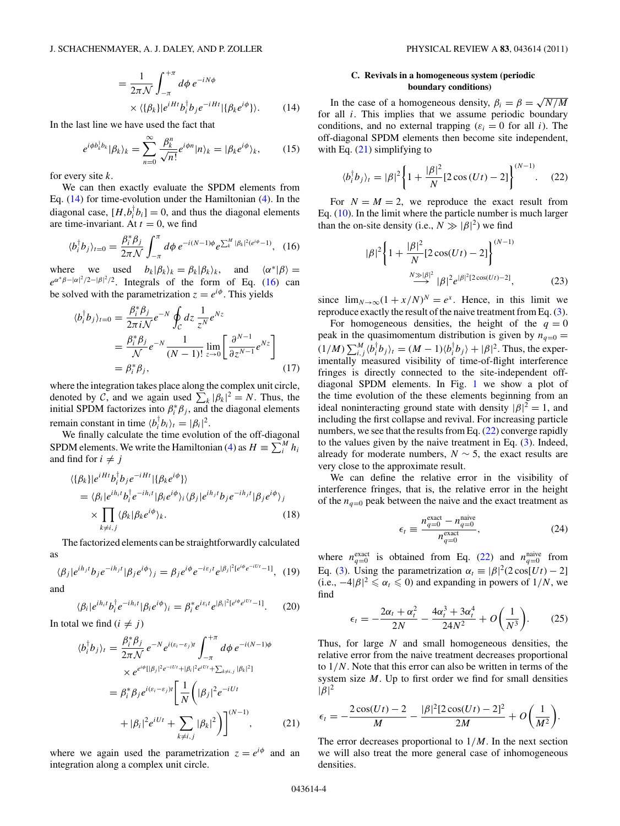$$
= \frac{1}{2\pi\mathcal{N}} \int_{-\pi}^{+\pi} d\phi \, e^{-iN\phi} \times \langle \{\beta_k\} | e^{iHt} b_i^{\dagger} b_j e^{-iHt} | \{\beta_k e^{i\phi}\} \rangle.
$$
 (14)

<span id="page-3-0"></span>In the last line we have used the fact that

$$
e^{i\phi b_k^{\dagger} b_k} |\beta_k\rangle_k = \sum_{n=0}^{\infty} \frac{\beta_k^n}{\sqrt{n!}} e^{i\phi n} |n\rangle_k = |\beta_k e^{i\phi}\rangle_k, \qquad (15)
$$

for every site *k*.

We can then exactly evaluate the SPDM elements from Eq. [\(14\)](#page-2-0) for time-evolution under the Hamiltonian [\(4\)](#page-1-0). In the diagonal case,  $[H,b_i^{\dagger} b_i] = 0$ , and thus the diagonal elements are time-invariant. At  $t = 0$ , we find

$$
\langle b_i^{\dagger} b_j \rangle_{t=0} = \frac{\beta_i^* \beta_j}{2\pi \mathcal{N}} \int_{-\pi}^{\pi} d\phi \, e^{-i(N-1)\phi} e^{\sum_{k}^{M} |\beta_k|^2 (e^{i\phi} - 1)}, \tag{16}
$$

where we used  $b_k|\beta_k\rangle_k = \beta_k|\beta_k\rangle_k$ , and  $\langle \alpha^*|\beta \rangle =$  $e^{\alpha^* \beta - |\alpha|^2/2 - |\beta|^2/2}$ . Integrals of the form of Eq. (16) can be solved with the parametrization  $z = e^{i\phi}$ . This yields

$$
\langle b_i^{\dagger} b_j \rangle_{t=0} = \frac{\beta_i^* \beta_j}{2\pi i \mathcal{N}} e^{-N} \oint_C dz \frac{1}{z^N} e^{Nz}
$$
  
=  $\frac{\beta_i^* \beta_j}{\mathcal{N}} e^{-N} \frac{1}{(N-1)!} \lim_{z \to 0} \left[ \frac{\partial^{N-1}}{\partial z^{N-1}} e^{Nz} \right]$   
=  $\beta_i^* \beta_j$ , (17)

where the integration takes place along the complex unit circle, denoted by C, and we again used  $\sum_{k} |\beta_k|^2 = N$ . Thus, the initial SPDM factorizes into  $\beta_i^* \beta_j$ , and the diagonal elements remain constant in time  $\langle b_i^{\dagger} b_i \rangle_t = |\beta_i|^2$ .

We finally calculate the time evolution of the off-diagonal SPDM elements. We write the Hamiltonian [\(4\)](#page-1-0) as  $H = \sum_{i=1}^{M} h_i$ and find for  $i \neq j$ 

$$
\langle \{\beta_k\}|e^{iHt}b_i^{\dagger}b_j e^{-iHt}| \{\beta_k e^{i\phi}\}\rangle
$$
  
=\langle \beta\_i|e^{ih\_i t}b\_i^{\dagger}e^{-ih\_i t}|\beta\_i e^{i\phi}\rangle\_i \langle \beta\_j|e^{ih\_j t}b\_j e^{-ih\_j t}|\beta\_j e^{i\phi}\rangle\_j  
\times \prod\_{k\neq i,j} \langle \beta\_k|\beta\_k e^{i\phi}\rangle\_k. (18)

The factorized elements can be straightforwardly calculated as

$$
\langle \beta_j | e^{ih_j t} b_j e^{-ih_j t} | \beta_j e^{i\phi} \rangle_j = \beta_j e^{i\phi} e^{-i\varepsilon_j t} e^{|\beta_j|^2 [e^{i\phi} e^{-iU t} - 1]}, \tag{19}
$$

and

$$
\langle \beta_i | e^{ih_i t} b_i^{\dagger} e^{-ih_i t} | \beta_i e^{i\phi} \rangle_i = \beta_i^* e^{i \varepsilon_i t} e^{|\beta_i|^2 [e^{i\phi} e^{iUt} - 1]}.
$$
 (20)

In total we find  $(i \neq j)$ 

$$
\langle b_i^{\dagger} b_j \rangle_t = \frac{\beta_i^* \beta_j}{2\pi N} e^{-N} e^{i(\varepsilon_i - \varepsilon_j)t} \int_{-\pi}^{+\pi} d\phi \, e^{-i(N-1)\phi} \\
\times e^{e^{i\phi}[\vert \beta_j \vert^2 e^{-iU_t} + \vert \beta_i \vert^2 e^{iU_t} + \sum_{k \neq i, j} \vert \beta_k \vert^2]} \\
= \beta_i^* \beta_j e^{i(\varepsilon_i - \varepsilon_j)t} \left[ \frac{1}{N} \left( \vert \beta_j \vert^2 e^{-iU_t} + \vert \beta_i \vert^2 e^{iU_t} + \sum_{k \neq i, j} \vert \beta_k \vert^2 \right) \right]^{(N-1)}, \tag{21}
$$

where we again used the parametrization  $z = e^{i\phi}$  and an integration along a complex unit circle.

# **C. Revivals in a homogeneous system (periodic boundary conditions)**

In the case of a homogeneous density,  $\beta_i = \beta = \sqrt{N/M}$ for all *i*. This implies that we assume periodic boundary conditions, and no external trapping  $(\varepsilon_i = 0$  for all *i*). The off-diagonal SPDM elements then become site independent, with Eq.  $(21)$  simplifying to

$$
\langle b_i^{\dagger} b_j \rangle_t = |\beta|^2 \left\{ 1 + \frac{|\beta|^2}{N} [2 \cos(Ut) - 2] \right\}^{(N-1)}.
$$
 (22)

For  $N = M = 2$ , we reproduce the exact result from Eq. [\(10\)](#page-2-0). In the limit where the particle number is much larger than the on-site density (i.e.,  $N \gg |\beta|^2$ ) we find

$$
|\beta|^2 \left\{ 1 + \frac{|\beta|^2}{N} [2 \cos(Ut) - 2] \right\}^{(N-1)}
$$
  

$$
\xrightarrow{N \gg |\beta|^2} |\beta|^2 e^{|\beta|^2 [2 \cos(Ut) - 2]},
$$
 (23)

since  $\lim_{N \to \infty} (1 + x/N)^N = e^x$ . Hence, in this limit we reproduce exactly the result of the naive treatment from Eq. [\(3\)](#page-1-0).

For homogeneous densities, the height of the  $q = 0$ peak in the quasimomentum distribution is given by  $n_{q=0}$  =  $(1/M)\sum_{i,j}^{M} \langle b_i^{\dagger} b_j \rangle_t = (M-1)\langle b_i^{\dagger} b_j \rangle + |\beta|^2$ . Thus, the experimentally measured visibility of time-of-flight interference fringes is directly connected to the site-independent offdiagonal SPDM elements. In Fig. [1](#page-2-0) we show a plot of the time evolution of the these elements beginning from an ideal noninteracting ground state with density  $|\beta|^2 = 1$ , and including the first collapse and revival. For increasing particle numbers, we see that the results from Eq. (22) converge rapidly to the values given by the naive treatment in Eq. [\(3\)](#page-1-0). Indeed, already for moderate numbers,  $N \sim 5$ , the exact results are very close to the approximate result.

We can define the relative error in the visibility of interference fringes, that is, the relative error in the height of the  $n_{q=0}$  peak between the naive and the exact treatment as

$$
\epsilon_t \equiv \frac{n_{q=0}^{\text{exact}} - n_{q=0}^{\text{naive}}}{n_{q=0}^{\text{exact}}},\tag{24}
$$

where  $n_{q=0}^{\text{exact}}$  is obtained from Eq. (22) and  $n_{q=0}^{\text{naive}}$  from Eq. [\(3\)](#page-1-0). Using the parametrization  $\alpha_t \equiv |\beta|^2 (2 \cos[Ut) - 2]$ (i.e.,  $-4|\beta|^2 \le \alpha_t \le 0$ ) and expanding in powers of 1/N, we find

$$
\epsilon_t = -\frac{2\alpha_t + \alpha_t^2}{2N} - \frac{4\alpha_t^3 + 3\alpha_t^4}{24N^2} + O\left(\frac{1}{N^3}\right).
$$
 (25)

Thus, for large *N* and small homogeneous densities, the relative error from the naive treatment decreases proportional to 1*/N*. Note that this error can also be written in terms of the system size *M*. Up to first order we find for small densities  $|\beta|^2$ 

$$
\epsilon_t = -\frac{2\cos(Ut) - 2}{M} - \frac{|\beta|^2 [2\cos(Ut) - 2]^2}{2M} + O\left(\frac{1}{M^2}\right).
$$

The error decreases proportional to 1*/M*. In the next section we will also treat the more general case of inhomogeneous densities.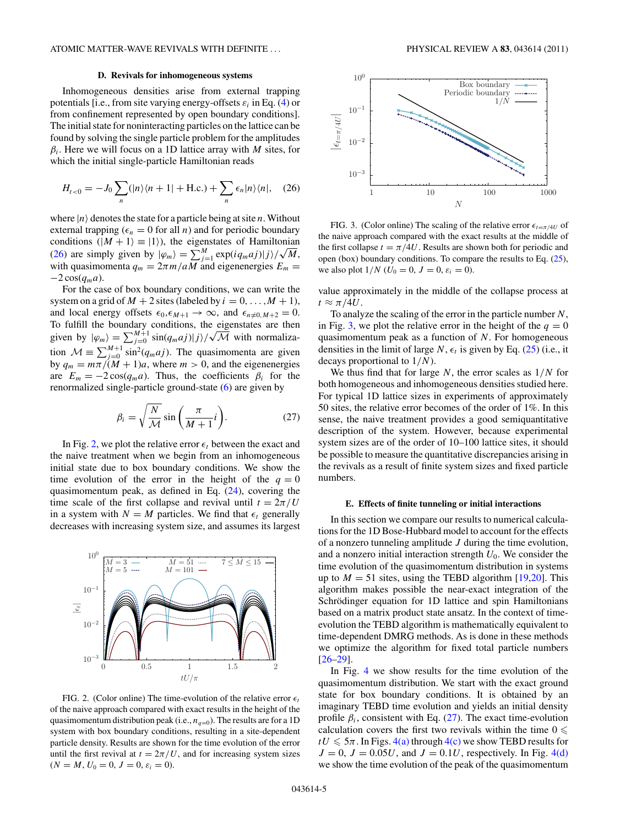### **D. Revivals for inhomogeneous systems**

<span id="page-4-0"></span>Inhomogeneous densities arise from external trapping potentials [i.e., from site varying energy-offsets  $\varepsilon_i$  in Eq. [\(4\)](#page-1-0) or from confinement represented by open boundary conditions]. The initial state for noninteracting particles on the lattice can be found by solving the single particle problem for the amplitudes *βi*. Here we will focus on a 1D lattice array with *M* sites, for which the initial single-particle Hamiltonian reads

$$
H_{t<0} = -J_0 \sum_n (|n\rangle\langle n+1| + \text{H.c.}) + \sum_n \epsilon_n |n\rangle\langle n|, \quad (26)
$$

where  $|n\rangle$  denotes the state for a particle being at site *n*. Without external trapping  $(\epsilon_n = 0$  for all *n*) and for periodic boundary conditions  $(|M + 1\rangle \equiv |1\rangle)$ , the eigenstates of Hamiltonian (26) are simply given by  $|\varphi_m\rangle = \sum_{j=1}^{M} \exp(i q_m a j)|j\rangle / \sqrt{M}$ , with quasimomenta  $q_m = 2\pi m/aM$  and eigenenergies  $E_m =$  $-2\cos(q_m a)$ .

For the case of box boundary conditions, we can write the system on a grid of  $M + 2$  sites (labeled by  $i = 0, \ldots, M + 1$ ), and local energy offsets  $\epsilon_0$ ,  $\epsilon_{M+1} \to \infty$ , and  $\epsilon_{n\neq 0,M+2} = 0$ . To fulfill the boundary conditions, the eigenstates are then given by  $|\varphi_m\rangle = \sum_{j=0}^{M+1} \sin(q_m a j)|j\rangle/$  $^e$ M with normalization  $\mathcal{M} \equiv \sum_{j=0}^{M+1} \sin^2(q_m a j)$ . The quasimomenta are given by  $q_m = m\pi/(M + 1)a$ , where  $m > 0$ , and the eigenenergies are  $E_m = -2\cos(q_m a)$ . Thus, the coefficients  $\beta_i$  for the renormalized single-particle ground-state [\(6\)](#page-1-0) are given by

$$
\beta_i = \sqrt{\frac{N}{\mathcal{M}}} \sin\left(\frac{\pi}{M+1}i\right). \tag{27}
$$

In Fig. 2, we plot the relative error  $\epsilon_t$  between the exact and the naive treatment when we begin from an inhomogeneous initial state due to box boundary conditions. We show the time evolution of the error in the height of the  $q = 0$ quasimomentum peak, as defined in Eq.  $(24)$ , covering the time scale of the first collapse and revival until  $t = 2\pi/U$ in a system with  $N = M$  particles. We find that  $\epsilon_t$  generally decreases with increasing system size, and assumes its largest



FIG. 2. (Color online) The time-evolution of the relative error  $\epsilon_t$ of the naive approach compared with exact results in the height of the quasimomentum distribution peak (i.e.,  $n_{q=0}$ ). The results are for a 1D system with box boundary conditions, resulting in a site-dependent particle density. Results are shown for the time evolution of the error until the first revival at  $t = 2\pi/U$ , and for increasing system sizes  $(N = M, U_0 = 0, J = 0, \varepsilon_i = 0).$ 



FIG. 3. (Color online) The scaling of the relative error  $\epsilon_{t=\pi/4U}$  of the naive approach compared with the exact results at the middle of the first collapse  $t = \pi/4U$ . Results are shown both for periodic and open (box) boundary conditions. To compare the results to Eq. [\(25\)](#page-3-0), we also plot  $1/N$  ( $U_0 = 0$ ,  $J = 0$ ,  $\varepsilon_i = 0$ ).

value approximately in the middle of the collapse process at  $t \approx \pi/4U$ .

To analyze the scaling of the error in the particle number *N*, in Fig. 3, we plot the relative error in the height of the  $q = 0$ quasimomentum peak as a function of *N*. For homogeneous densities in the limit of large *N*,  $\epsilon_t$  is given by Eq. [\(25\)](#page-3-0) (i.e., it decays proportional to 1*/N*).

We thus find that for large *N*, the error scales as 1*/N* for both homogeneous and inhomogeneous densities studied here. For typical 1D lattice sizes in experiments of approximately 50 sites, the relative error becomes of the order of 1%. In this sense, the naive treatment provides a good semiquantitative description of the system. However, because experimental system sizes are of the order of 10–100 lattice sites, it should be possible to measure the quantitative discrepancies arising in the revivals as a result of finite system sizes and fixed particle numbers.

#### **E. Effects of finite tunneling or initial interactions**

In this section we compare our results to numerical calculations for the 1D Bose-Hubbard model to account for the effects of a nonzero tunneling amplitude *J* during the time evolution, and a nonzero initial interaction strength *U*0. We consider the time evolution of the quasimomentum distribution in systems up to  $M = 51$  sites, using the TEBD algorithm [\[19,20\]](#page-6-0). This algorithm makes possible the near-exact integration of the Schrödinger equation for 1D lattice and spin Hamiltonians based on a matrix product state ansatz. In the context of timeevolution the TEBD algorithm is mathematically equivalent to time-dependent DMRG methods. As is done in these methods we optimize the algorithm for fixed total particle numbers [\[26–29\]](#page-6-0).

In Fig. [4](#page-5-0) we show results for the time evolution of the quasimomentum distribution. We start with the exact ground state for box boundary conditions. It is obtained by an imaginary TEBD time evolution and yields an initial density profile  $\beta_i$ , consistent with Eq. (27). The exact time-evolution calculation covers the first two revivals within the time  $0 \leq$  $tU \leq 5\pi$ . In Figs. [4\(a\)](#page-5-0) through [4\(c\)](#page-5-0) we show TEBD results for  $J = 0$ ,  $J = 0.05U$ , and  $J = 0.1U$ , respectively. In Fig. [4\(d\)](#page-5-0) we show the time evolution of the peak of the quasimomentum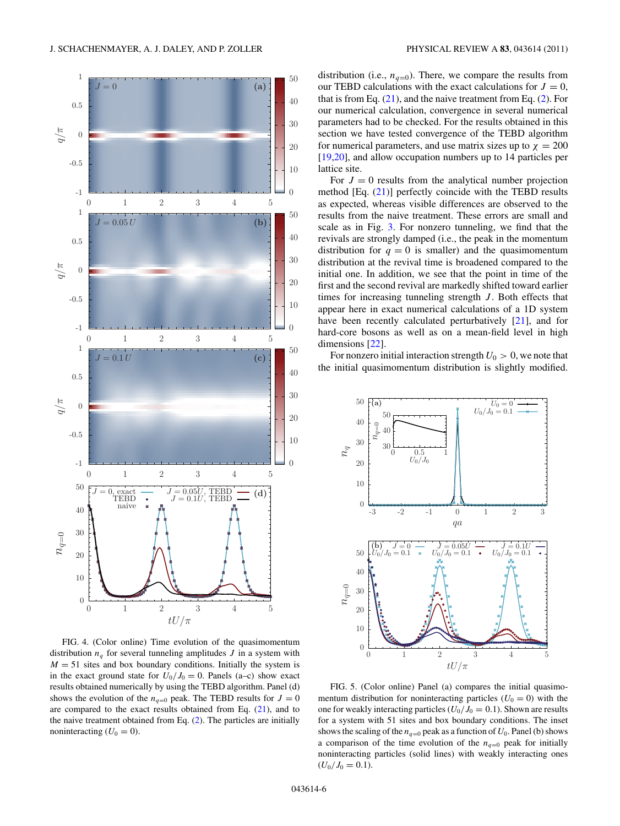<span id="page-5-0"></span>

FIG. 4. (Color online) Time evolution of the quasimomentum distribution  $n_q$  for several tunneling amplitudes  $J$  in a system with  $M = 51$  sites and box boundary conditions. Initially the system is in the exact ground state for  $U_0/J_0 = 0$ . Panels (a–c) show exact results obtained numerically by using the TEBD algorithm. Panel (d) shows the evolution of the  $n_{q=0}$  peak. The TEBD results for  $J=0$ are compared to the exact results obtained from Eq.  $(21)$ , and to the naive treatment obtained from Eq. [\(2\)](#page-1-0). The particles are initially noninteracting  $(U_0 = 0)$ .

distribution (i.e.,  $n_{q=0}$ ). There, we compare the results from our TEBD calculations with the exact calculations for  $J = 0$ , that is from Eq.  $(21)$ , and the naive treatment from Eq.  $(2)$ . For our numerical calculation, convergence in several numerical parameters had to be checked. For the results obtained in this section we have tested convergence of the TEBD algorithm for numerical parameters, and use matrix sizes up to  $\chi = 200$ [\[19,20\]](#page-6-0), and allow occupation numbers up to 14 particles per lattice site.

For  $J = 0$  results from the analytical number projection method [Eq. [\(21\)](#page-3-0)] perfectly coincide with the TEBD results as expected, whereas visible differences are observed to the results from the naive treatment. These errors are small and scale as in Fig. [3.](#page-4-0) For nonzero tunneling, we find that the revivals are strongly damped (i.e., the peak in the momentum distribution for  $q = 0$  is smaller) and the quasimomentum distribution at the revival time is broadened compared to the initial one. In addition, we see that the point in time of the first and the second revival are markedly shifted toward earlier times for increasing tunneling strength *J*. Both effects that appear here in exact numerical calculations of a 1D system have been recently calculated perturbatively [\[21\]](#page-6-0), and for hard-core bosons as well as on a mean-field level in high dimensions [\[22\]](#page-6-0).

For nonzero initial interaction strength  $U_0 > 0$ , we note that the initial quasimomentum distribution is slightly modified.



FIG. 5. (Color online) Panel (a) compares the initial quasimomentum distribution for noninteracting particles  $(U_0 = 0)$  with the one for weakly interacting particles  $(U_0/J_0 = 0.1)$ . Shown are results for a system with 51 sites and box boundary conditions. The inset shows the scaling of the  $n_{q=0}$  peak as a function of  $U_0$ . Panel (b) shows a comparison of the time evolution of the  $n_{q=0}$  peak for initially noninteracting particles (solid lines) with weakly interacting ones  $(U_0/J_0 = 0.1).$